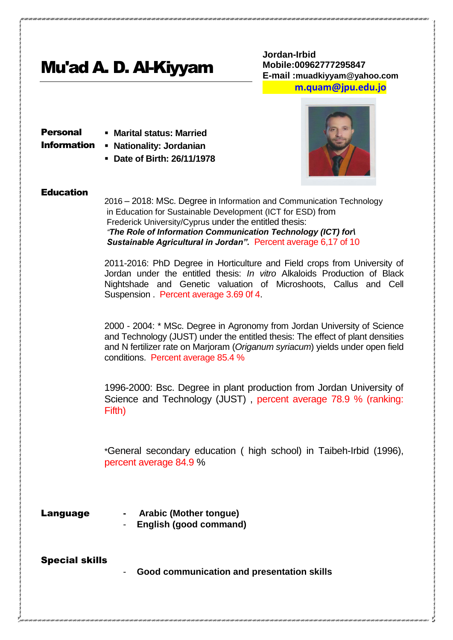# Mu'ad A. D. Al-Kiyyam

**Jordan-Irbid Mobile:00962777295847 E-mail :muadkiyyam@yahoo.com [m.quam@jpu.edu.jo](mailto:m.quam@jpu.edu.jo)**

Personal

- **Marital status: Married**
- 
- Information **Nationality: Jordanian**
	- **Date of Birth: 26/11/1978**



#### **Education**

2016 – 2018: MSc. Degree in Information and Communication Technology in Education for Sustainable Development (ICT for ESD) from Frederick University/Cyprus under the entitled thesis: *"The Role of Information Communication Technology (ICT) for\ Sustainable Agricultural in Jordan".* Percent average 6,17 of 10

2011-2016: PhD Degree in Horticulture and Field crops from University of Jordan under the entitled thesis: *In vitro* Alkaloids Production of Black Nightshade and Genetic valuation of Microshoots, Callus and Cell Suspension . Percent average 3.69 0f 4.

2000 - 2004: \* MSc. Degree in Agronomy from Jordan University of Science and Technology (JUST) under the entitled thesis: The effect of plant densities and N fertilizer rate on Marjoram (*Origanum syriacum*) yields under open field conditions. Percent average 85.4 %

1996-2000: Bsc. Degree in plant production from Jordan University of Science and Technology (JUST) , percent average 78.9 % (ranking: Fifth)

\*General secondary education ( high school) in Taibeh-Irbid (1996), percent average 84.9 %

- 
- Language  **Arabic (Mother tongue)** 
	- **English (good command)**

Special skills

- **Good communication and presentation skills**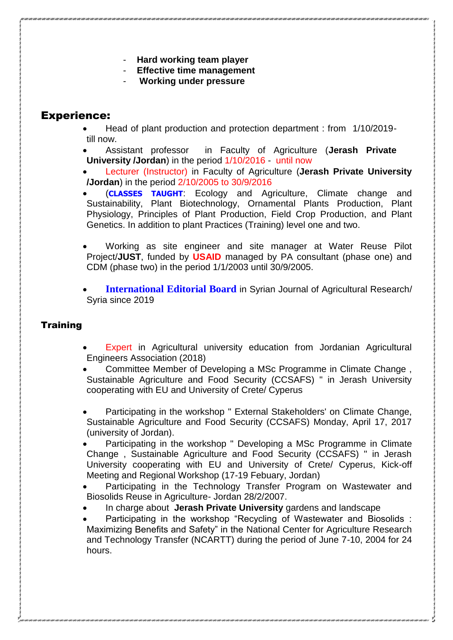- **Hard working team player**
- **Effective time management**
- **Working under pressure**

# Experience:

- Head of plant production and protection department : from 1/10/2019 till now.
- Assistant professor in Faculty of Agriculture (**Jerash Private University /Jordan**) in the period 1/10/2016 - until now
- Lecturer (Instructor) in Faculty of Agriculture (**Jerash Private University /Jordan**) in the period 2/10/2005 to 30/9/2016
- (**CLASSES TAUGHT**: Ecology and Agriculture, Climate change and Sustainability, Plant Biotechnology, Ornamental Plants Production, Plant Physiology, Principles of Plant Production, Field Crop Production, and Plant Genetics. In addition to plant Practices (Training) level one and two.
- Working as site engineer and site manager at Water Reuse Pilot Project/**JUST**, funded by **USAID** managed by PA consultant (phase one) and CDM (phase two) in the period 1/1/2003 until 30/9/2005.
- **International Editorial Board** in Syrian Journal of Agricultural Research/ Syria since 2019

## **Training**

- Expert in Agricultural university education from Jordanian Agricultural Engineers Association (2018)
- Committee Member of Developing a MSc Programme in Climate Change , Sustainable Agriculture and Food Security (CCSAFS) " in Jerash University cooperating with EU and University of Crete/ Cyperus
- Participating in the workshop " External Stakeholders' on Climate Change, Sustainable Agriculture and Food Security (CCSAFS) Monday, April 17, 2017 (university of Jordan).
- Participating in the workshop " Developing a MSc Programme in Climate Change , Sustainable Agriculture and Food Security (CCSAFS) " in Jerash University cooperating with EU and University of Crete/ Cyperus, Kick-off Meeting and Regional Workshop (17-19 Febuary, Jordan)
- Participating in the Technology Transfer Program on Wastewater and Biosolids Reuse in Agriculture- Jordan 28/2/2007.
- In charge about **Jerash Private University** gardens and landscape
- Participating in the workshop "Recycling of Wastewater and Biosolids : Maximizing Benefits and Safety" in the National Center for Agriculture Research and Technology Transfer (NCARTT) during the period of June 7-10, 2004 for 24 hours.